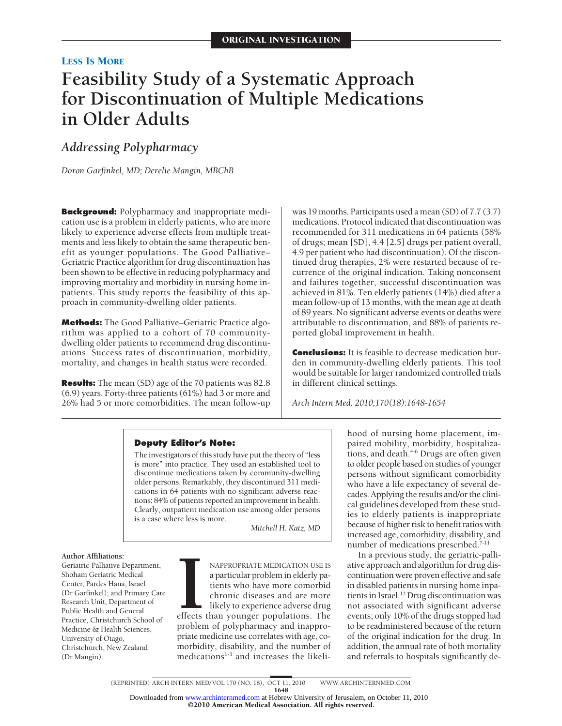# LESS IS MORE **Feasibility Study of a Systematic Approach for Discontinuation of Multiple Medications in Older Adults**

# *Addressing Polypharmacy*

*Doron Garfinkel, MD; Derelie Mangin, MBChB*

**Background:** Polypharmacy and inappropriate medication use is a problem in elderly patients, who are more likely to experience adverse effects from multiple treatments and less likely to obtain the same therapeutic benefit as younger populations. The Good Palliative– Geriatric Practice algorithm for drug discontinuation has been shown to be effective in reducing polypharmacy and improving mortality and morbidity in nursing home inpatients. This study reports the feasibility of this approach in community-dwelling older patients.

**Methods:** The Good Palliative–Geriatric Practice algorithm was applied to a cohort of 70 communitydwelling older patients to recommend drug discontinuations. Success rates of discontinuation, morbidity, mortality, and changes in health status were recorded.

**Results:** The mean (SD) age of the 70 patients was 82.8 (6.9) years. Forty-three patients (61%) had 3 or more and 26% had 5 or more comorbidities. The mean follow-up was 19 months. Participants used a mean (SD) of 7.7 (3.7) medications. Protocol indicated that discontinuation was recommended for 311 medications in 64 patients (58% of drugs; mean [SD], 4.4 [2.5] drugs per patient overall, 4.9 per patient who had discontinuation). Of the discontinued drug therapies, 2% were restarted because of recurrence of the original indication. Taking nonconsent and failures together, successful discontinuation was achieved in 81%. Ten elderly patients (14%) died after a mean follow-up of 13 months, with the mean age at death of 89 years. No significant adverse events or deaths were attributable to discontinuation, and 88% of patients reported global improvement in health.

**Conclusions:** It is feasible to decrease medication burden in community-dwelling elderly patients. This tool would be suitable for larger randomized controlled trials in different clinical settings.

*Arch Intern Med. 2010;170(18):1648-1654*

# **Deputy Editor's Note:**

The investigators of this study have put the theory of "less is more" into practice. They used an established tool to discontinue medications taken by community-dwelling older persons. Remarkably, they discontinued 311 medications in 64 patients with no significant adverse reactions; 84% of patients reported an improvement in health. Clearly, outpatient medication use among older persons is a case where less is more.

*Mitchell H. Katz, MD*

**Author Affiliations:** Geriatric-Palliative Department, Shoham Geriatric Medical Center, Pardes Hana, Israel (Dr Garfinkel); and Primary Care Research Unit, Department of Public Health and General Practice, Christchurch School of Medicine & Health Sciences, University of Otago, Christchurch, New Zealand (Dr Mangin).

**I**<br>effects<br>probler NAPPROPRIATE MEDICATION USE IS a particular problem in elderly patients who have more comorbid chronic diseases and are more likely to experience adverse drug effects than younger populations. The problem of polypharmacy and inappropriate medicine use correlates with age, comorbidity, disability, and the number of medications<sup>1-3</sup> and increases the likeli-

hood of nursing home placement, impaired mobility, morbidity, hospitalizations, and death.<sup>4-6</sup> Drugs are often given to older people based on studies of younger persons without significant comorbidity who have a life expectancy of several decades. Applying the results and/or the clinical guidelines developed from these studies to elderly patients is inappropriate because of higher risk to benefit ratios with increased age, comorbidity, disability, and number of medications prescribed.<sup>7-11</sup>

In a previous study, the geriatric-palliative approach and algorithm for drug discontinuation were proven effective and safe in disabled patients in nursing home inpatients in Israel.<sup>12</sup> Drug discontinuation was not associated with significant adverse events; only 10% of the drugs stopped had to be readministered because of the return of the original indication for the drug. In addition, the annual rate of both mortality and referrals to hospitals significantly de-

1648

Downloaded from [www.archinternmed.com](http://www.archinternmed.com) at Hebrew University of Jerusalem, on October 11, 2010<br>© 2010 American Medical Association. All rights reserved.

<sup>(</sup>REPRINTED) ARCH INTERN MED/ VOL 170 (NO. 18), OCT 11, 2010 WWW.ARCHINTERNMED.COM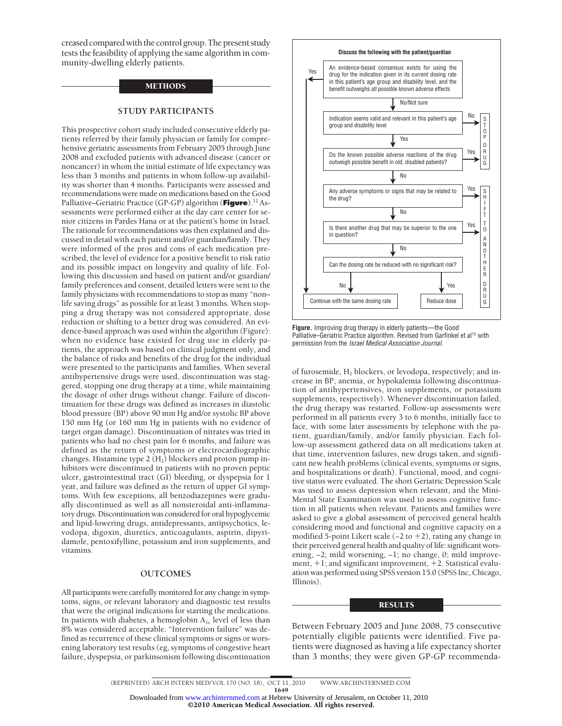creased compared with the control group. The present study tests the feasibility of applying the same algorithm in community-dwelling elderly patients.

#### METHODS

# **STUDY PARTICIPANTS**

This prospective cohort study included consecutive elderly patients referred by their family physician or family for comprehensive geriatric assessments from February 2005 through June 2008 and excluded patients with advanced disease (cancer or noncancer) in whom the initial estimate of life expectancy was less than 3 months and patients in whom follow-up availability was shorter than 4 months. Participants were assessed and recommendations were made on medications based on the Good Palliative–Geriatric Practice (GP-GP) algorithm (**Figure**).12 Assessments were performed either at the day care center for senior citizens in Pardes Hana or at the patient's home in Israel. The rationale for recommendations was then explained and discussed in detail with each patient and/or guardian/family. They were informed of the pros and cons of each medication prescribed, the level of evidence for a positive benefit to risk ratio and its possible impact on longevity and quality of life. Following this discussion and based on patient and/or guardian/ family preferences and consent, detailed letters were sent to the family physicians with recommendations to stop as many "non– life saving drugs" as possible for at least 3 months. When stopping a drug therapy was not considered appropriate, dose reduction or shifting to a better drug was considered. An evidence-based approach was used within the algorithm (Figure): when no evidence base existed for drug use in elderly patients, the approach was based on clinical judgment only, and the balance of risks and benefits of the drug for the individual were presented to the participants and families. When several antihypertensive drugs were used, discontinuation was staggered, stopping one drug therapy at a time, while maintaining the dosage of other drugs without change. Failure of discontinuation for these drugs was defined as increases in diastolic blood pressure (BP) above 90 mm Hg and/or systolic BP above 150 mm Hg (or 160 mm Hg in patients with no evidence of target organ damage). Discontinuation of nitrates was tried in patients who had no chest pain for 6 months, and failure was defined as the return of symptoms or electrocardiographic changes. Histamine type  $2(H_2)$  blockers and proton pump inhibitors were discontinued in patients with no proven peptic ulcer, gastrointestinal tract (GI) bleeding, or dyspepsia for 1 year, and failure was defined as the return of upper GI symptoms. With few exceptions, all benzodiazepines were gradually discontinued as well as all nonsteroidal anti-inflammatory drugs. Discontinuation was considered for oral hypoglycemic and lipid-lowering drugs, antidepressants, antipsychotics, levodopa, digoxin, diuretics, anticoagulants, aspirin, dipyridamole, pentoxifylline, potassium and iron supplements, and vitamins.

# **OUTCOMES**

All participants were carefully monitored for any change in symptoms, signs, or relevant laboratory and diagnostic test results that were the original indications for starting the medications. In patients with diabetes, a hemoglobin  $A_{1c}$  level of less than 8% was considered acceptable. "Intervention failure" was defined as recurrence of these clinical symptoms or signs or worsening laboratory test results (eg, symptoms of congestive heart failure, dyspepsia, or parkinsonism following discontinuation



**Figure.** Improving drug therapy in elderly patients—the Good Palliative–Geriatric Practice algorithm. Revised from Garfinkel et al<sup>12</sup> with permission from the *Israel Medical Association Journal*.

of furosemide,  $H_2$  blockers, or levodopa, respectively; and increase in BP, anemia, or hypokalemia following discontinuation of antihypertensives, iron supplements, or potassium supplements, respectively). Whenever discontinuation failed, the drug therapy was restarted. Follow-up assessments were performed in all patients every 3 to 6 months, initially face to face, with some later assessments by telephone with the patient, guardian/family, and/or family physician. Each follow-up assessment gathered data on all medications taken at that time, intervention failures, new drugs taken, and significant new health problems (clinical events, symptoms or signs, and hospitalizations or death). Functional, mood, and cognitive status were evaluated. The short Geriatric Depression Scale was used to assess depression when relevant, and the Mini-Mental State Examination was used to assess cognitive function in all patients when relevant. Patients and families were asked to give a global assessment of perceived general health considering mood and functional and cognitive capacity on a modified 5-point Likert scale (−2 to -2), rating any change in their perceived general health and quality of life: significant worsening, −2; mild worsening, −1; no change, 0; mild improvement, +1; and significant improvement, +2. Statistical evaluation was performed using SPSS version 15.0 (SPSS Inc, Chicago, Illinois).

# **RESULTS**

Between February 2005 and June 2008, 75 consecutive potentially eligible patients were identified. Five patients were diagnosed as having a life expectancy shorter than 3 months; they were given GP-GP recommenda-

1649

©2010 American Medical Association. All rights reserved. Downloaded from [www.archinternmed.com](http://www.archinternmed.com) at Hebrew University of Jerusalem, on October 11, 2010

<sup>(</sup>REPRINTED) ARCH INTERN MED/ VOL 170 (NO. 18), OCT 11, 2010 WWW.ARCHINTERNMED.COM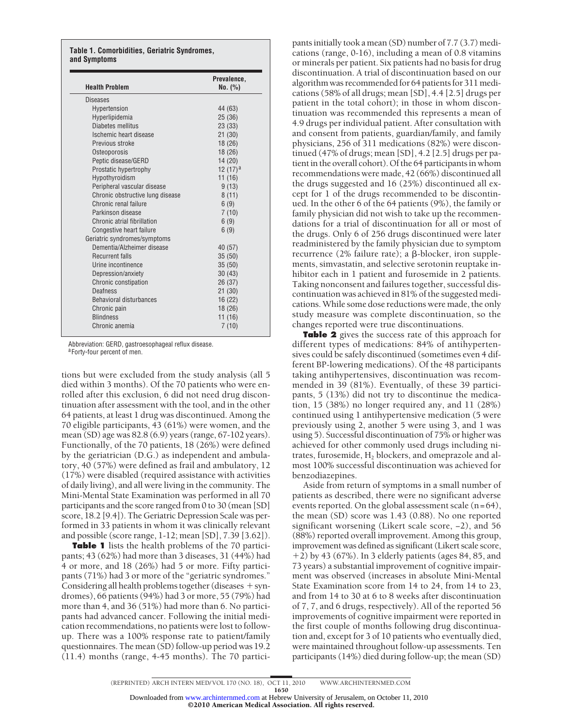#### **Table 1. Comorbidities, Geriatric Syndromes, and Symptoms**

| <b>Health Problem</b>            | Prevalence,<br>No. (%) |
|----------------------------------|------------------------|
| <b>Diseases</b>                  |                        |
| Hypertension                     | 44 (63)                |
| Hyperlipidemia                   | 25(36)                 |
| Diabetes mellitus                | 23 (33)                |
| Ischemic heart disease           | 21(30)                 |
| Previous stroke                  | 18(26)                 |
| Osteoporosis                     | 18(26)                 |
| Peptic disease/GERD              | 14(20)                 |
| Prostatic hypertrophy            | 12 $(17)^a$            |
| Hypothyroidism                   | 11(16)                 |
| Peripheral vascular disease      | 9(13)                  |
| Chronic obstructive lung disease | 8(11)                  |
| Chronic renal failure            | 6(9)                   |
| Parkinson disease                | 7(10)                  |
| Chronic atrial fibrillation      | 6(9)                   |
| Congestive heart failure         | 6(9)                   |
| Geriatric syndromes/symptoms     |                        |
| Dementia/Alzheimer disease       | 40 (57)                |
| <b>Recurrent falls</b>           | 35(50)                 |
| Urine incontinence               | 35(50)                 |
| Depression/anxiety               | 30(43)                 |
| Chronic constipation             | 26 (37)                |
| <b>Deafness</b>                  | 21(30)                 |
| Behavioral disturbances          | 16(22)                 |
| Chronic pain                     | 18(26)                 |
| <b>Blindness</b>                 | 11(16)                 |
| Chronic anemia                   | 7(10)                  |

Abbreviation: GERD, gastroesophageal reflux disease. a Forty-four percent of men.

tions but were excluded from the study analysis (all 5 died within 3 months). Of the 70 patients who were enrolled after this exclusion, 6 did not need drug discontinuation after assessment with the tool, and in the other 64 patients, at least 1 drug was discontinued. Among the 70 eligible participants, 43 (61%) were women, and the mean (SD) age was 82.8 (6.9) years (range, 67-102 years). Functionally, of the 70 patients, 18 (26%) were defined by the geriatrician (D.G.) as independent and ambulatory, 40 (57%) were defined as frail and ambulatory, 12 (17%) were disabled (required assistance with activities of daily living), and all were living in the community. The Mini-Mental State Examination was performed in all 70 participants and the score ranged from 0 to 30 (mean [SD] score, 18.2 [9.4]). The Geriatric Depression Scale was performed in 33 patients in whom it was clinically relevant and possible (score range, 1-12; mean [SD], 7.39 [3.62]).

**Table 1** lists the health problems of the 70 participants; 43 (62%) had more than 3 diseases, 31 (44%) had 4 or more, and 18 (26%) had 5 or more. Fifty participants (71%) had 3 or more of the "geriatric syndromes." Considering all health problems together (diseases + syndromes), 66 patients (94%) had 3 or more, 55 (79%) had more than 4, and 36 (51%) had more than 6. No participants had advanced cancer. Following the initial medication recommendations, no patients were lost to followup. There was a 100% response rate to patient/family questionnaires. The mean (SD) follow-up period was 19.2 (11.4) months (range, 4-45 months). The 70 participants initially took a mean (SD) number of 7.7 (3.7) medications (range, 0-16), including a mean of 0.8 vitamins or minerals per patient. Six patients had no basis for drug discontinuation. A trial of discontinuation based on our algorithm was recommended for 64 patients for 311 medications (58% of all drugs; mean [SD], 4.4 [2.5] drugs per patient in the total cohort); in those in whom discontinuation was recommended this represents a mean of 4.9 drugs per individual patient. After consultation with and consent from patients, guardian/family, and family physicians, 256 of 311 medications (82%) were discontinued (47% of drugs; mean [SD], 4.2 [2.5] drugs per patient in the overall cohort). Of the 64 participants in whom recommendations were made, 42 (66%) discontinued all the drugs suggested and 16 (25%) discontinued all except for 1 of the drugs recommended to be discontinued. In the other 6 of the 64 patients (9%), the family or family physician did not wish to take up the recommendations for a trial of discontinuation for all or most of the drugs. Only 6 of 256 drugs discontinued were later readministered by the family physician due to symptom recurrence (2% failure rate); a  $\beta$ -blocker, iron supplements, simvastatin, and selective serotonin reuptake inhibitor each in 1 patient and furosemide in 2 patients. Taking nonconsent and failures together, successful discontinuation was achieved in 81% of the suggested medications. While some dose reductions were made, the only study measure was complete discontinuation, so the changes reported were true discontinuations.

**Table 2** gives the success rate of this approach for different types of medications: 84% of antihypertensives could be safely discontinued (sometimes even 4 different BP-lowering medications). Of the 48 participants taking antihypertensives, discontinuation was recommended in 39 (81%). Eventually, of these 39 participants, 5 (13%) did not try to discontinue the medication, 15 (38%) no longer required any, and 11 (28%) continued using 1 antihypertensive medication (5 were previously using 2, another 5 were using 3, and 1 was using 5). Successful discontinuation of 75% or higher was achieved for other commonly used drugs including nitrates, furosemide, H<sub>2</sub> blockers, and omeprazole and almost 100% successful discontinuation was achieved for benzodiazepines.

Aside from return of symptoms in a small number of patients as described, there were no significant adverse events reported. On the global assessment scale  $(n=64)$ , the mean (SD) score was 1.43 (0.88). No one reported significant worsening (Likert scale score, −2), and 56 (88%) reported overall improvement. Among this group, improvement was defined as significant (Likert scale score, -2) by 43 (67%). In 3 elderly patients (ages 84, 85, and 73 years) a substantial improvement of cognitive impairment was observed (increases in absolute Mini-Mental State Examination score from 14 to 24, from 14 to 23, and from 14 to 30 at 6 to 8 weeks after discontinuation of 7, 7, and 6 drugs, respectively). All of the reported 56 improvements of cognitive impairment were reported in the first couple of months following drug discontinuation and, except for 3 of 10 patients who eventually died, were maintained throughout follow-up assessments. Ten participants (14%) died during follow-up; the mean (SD)

(REPRINTED) ARCH INTERN MED/ VOL 170 (NO. 18), OCT 11, 2010 WWW.ARCHINTERNMED.COM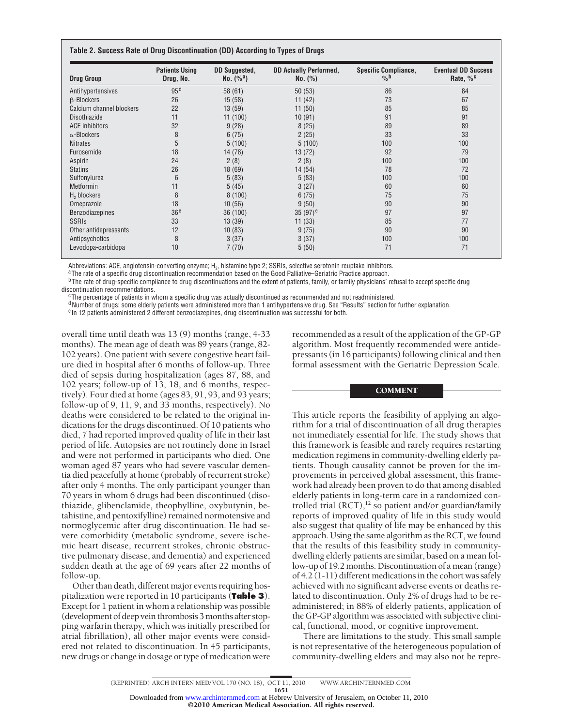| <b>Drug Group</b>        | <b>Patients Using</b><br>Drug, No. | <b>DD Suggested,</b><br>No. $(%^a)$ | <b>DD Actually Performed,</b><br>No. (%) | <b>Specific Compliance,</b><br>$\frac{9}{6}$ | <b>Eventual DD Success</b><br>Rate, $%^c$ |
|--------------------------|------------------------------------|-------------------------------------|------------------------------------------|----------------------------------------------|-------------------------------------------|
| Antihypertensives        | 95 <sup>d</sup>                    | 58 (61)                             | 50(53)                                   | 86                                           | 84                                        |
| <b>B-Blockers</b>        | 26                                 | 15(58)                              | 11(42)                                   | 73                                           | 67                                        |
| Calcium channel blockers | 22                                 | 13(59)                              | 11(50)                                   | 85                                           | 85                                        |
| <b>Disothiazide</b>      | 11                                 | 11(100)                             | 10(91)                                   | 91                                           | 91                                        |
| <b>ACE</b> inhibitors    | 32                                 | 9(28)                               | 8(25)                                    | 89                                           | 89                                        |
| $\alpha$ -Blockers       | 8                                  | 6(75)                               | 2(25)                                    | 33                                           | 33                                        |
| <b>Nitrates</b>          | 5                                  | 5(100)                              | 5(100)                                   | 100                                          | 100                                       |
| Furosemide               | 18                                 | 14 (78)                             | 13(72)                                   | 92                                           | 79                                        |
| Aspirin                  | 24                                 | 2(8)                                | 2(8)                                     | 100                                          | 100                                       |
| <b>Statins</b>           | 26                                 | 18 (69)                             | 14(54)                                   | 78                                           | 72                                        |
| Sulfonylurea             | 6                                  | 5(83)                               | 5(83)                                    | 100                                          | 100                                       |
| <b>Metformin</b>         | 11                                 | 5(45)                               | 3(27)                                    | 60                                           | 60                                        |
| H <sub>2</sub> blockers  | 8                                  | 8(100)                              | 6(75)                                    | 75                                           | 75                                        |
| Omeprazole               | 18                                 | 10(56)                              | 9(50)                                    | 90                                           | 90                                        |
| <b>Benzodiazepines</b>   | 36 <sup>e</sup>                    | 36 (100)                            | 35 $(97)^e$                              | 97                                           | 97                                        |
| <b>SSRIS</b>             | 33                                 | 13(39)                              | 11(33)                                   | 85                                           | 77                                        |
| Other antidepressants    | 12                                 | 10(83)                              | 9(75)                                    | 90                                           | 90                                        |
| Antipsychotics           | 8                                  | 3(37)                               | 3(37)                                    | 100                                          | 100                                       |
| Levodopa-carbidopa       | 10                                 | 7(70)                               | 5(50)                                    | 71                                           | 71                                        |

Abbreviations: ACE, angiotensin-converting enzyme; H<sub>2</sub>, histamine type 2; SSRIs, selective serotonin reuptake inhibitors.<br><sup>a</sup>The rate of a specific drug discontinuation recommendation based on the Good Palliative–Geriatri

<sup>b</sup> The rate of drug-specific compliance to drug discontinuations and the extent of patients, family, or family physicians' refusal to accept specific drug discontinuation recommendations.<br><sup>c</sup>The percentage of patients in whom a specific drug was actually discontinued as recommended and not readministered.

<sup>d</sup>Number of drugs: some elderly patients were administered more than 1 antihypertensive drug. See "Results" section for further explanation.

<sup>e</sup> In 12 patients administered 2 different benzodiazepines, drug discontinuation was successful for both.

overall time until death was 13 (9) months (range, 4-33 months). The mean age of death was 89 years (range, 82- 102 years). One patient with severe congestive heart failure died in hospital after 6 months of follow-up. Three died of sepsis during hospitalization (ages 87, 88, and 102 years; follow-up of 13, 18, and 6 months, respectively). Four died at home (ages 83, 91, 93, and 93 years; follow-up of 9, 11, 9, and 33 months, respectively). No deaths were considered to be related to the original indications for the drugs discontinued. Of 10 patients who died, 7 had reported improved quality of life in their last period of life. Autopsies are not routinely done in Israel and were not performed in participants who died. One woman aged 87 years who had severe vascular dementia died peacefully at home (probably of recurrent stroke) after only 4 months. The only participant younger than 70 years in whom 6 drugs had been discontinued (disothiazide, glibenclamide, theophylline, oxybutynin, betahistine, and pentoxifylline) remained normotensive and normoglycemic after drug discontinuation. He had severe comorbidity (metabolic syndrome, severe ischemic heart disease, recurrent strokes, chronic obstructive pulmonary disease, and dementia) and experienced sudden death at the age of 69 years after 22 months of follow-up.

Other than death, different major events requiring hospitalization were reported in 10 participants (**Table 3**). Except for 1 patient in whom a relationship was possible (development of deep vein thrombosis 3 months after stopping warfarin therapy, which was initially prescribed for atrial fibrillation), all other major events were considered not related to discontinuation. In 45 participants, new drugs or change in dosage or type of medication were

recommended as a result of the application of the GP-GP algorithm. Most frequently recommended were antidepressants (in 16 participants) following clinical and then formal assessment with the Geriatric Depression Scale.

## **COMMENT**

This article reports the feasibility of applying an algorithm for a trial of discontinuation of all drug therapies not immediately essential for life. The study shows that this framework is feasible and rarely requires restarting medication regimens in community-dwelling elderly patients. Though causality cannot be proven for the improvements in perceived global assessment, this framework had already been proven to do that among disabled elderly patients in long-term care in a randomized controlled trial  $(RCT)$ ,<sup>12</sup> so patient and/or guardian/family reports of improved quality of life in this study would also suggest that quality of life may be enhanced by this approach. Using the same algorithm as the RCT, we found that the results of this feasibility study in communitydwelling elderly patients are similar, based on a mean follow-up of 19.2 months. Discontinuation of a mean (range) of 4.2 (1-11) different medications in the cohort was safely achieved with no significant adverse events or deaths related to discontinuation. Only 2% of drugs had to be readministered; in 88% of elderly patients, application of the GP-GP algorithm was associated with subjective clinical, functional, mood, or cognitive improvement.

There are limitations to the study. This small sample is not representative of the heterogeneous population of community-dwelling elders and may also not be repre-

<sup>(</sup>REPRINTED) ARCH INTERN MED/VOL 170 (NO. 18), OCT 11, 2010 WWW.ARCHINTERNMED.COM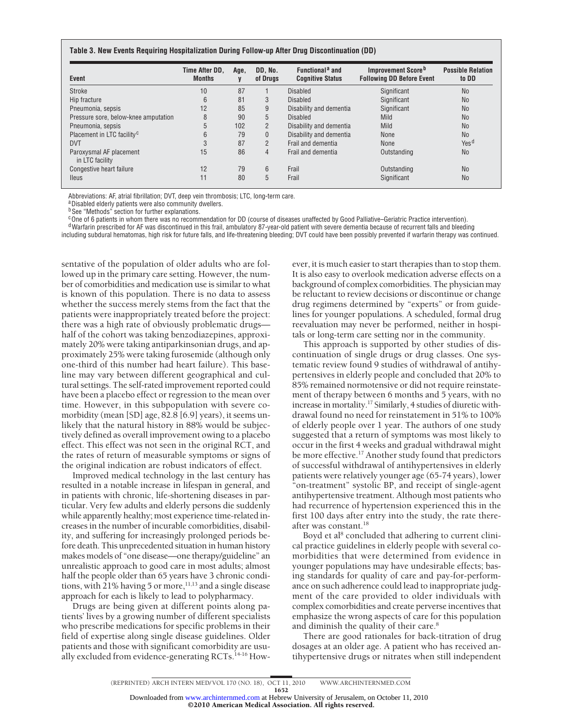#### **Table 3. New Events Requiring Hospitalization During Follow-up After Drug Discontinuation (DD)**

| <b>Event</b>                               | Time After DD.<br><b>Months</b> | Age, | DD. No.<br>of Drugs | Functional <sup>a</sup> and<br><b>Cognitive Status</b> | Improvement Score <sup>b</sup><br><b>Following DD Before Event</b> | <b>Possible Relation</b><br>to DD |
|--------------------------------------------|---------------------------------|------|---------------------|--------------------------------------------------------|--------------------------------------------------------------------|-----------------------------------|
| Stroke                                     | 10                              | 87   |                     | Disabled                                               | Significant                                                        | N <sub>o</sub>                    |
| Hip fracture                               | 6                               | 81   | 3                   | <b>Disabled</b>                                        | Significant                                                        | N <sub>0</sub>                    |
| Pneumonia, sepsis                          | 12                              | 85   | 9                   | Disability and dementia                                | Significant                                                        | N <sub>0</sub>                    |
| Pressure sore, below-knee amputation       | 8                               | 90   | 5                   | <b>Disabled</b>                                        | <b>Mild</b>                                                        | N <sub>0</sub>                    |
| Pneumonia, sepsis                          | 5                               | 102  | $\overline{2}$      | Disability and dementia                                | <b>Mild</b>                                                        | N <sub>0</sub>                    |
| Placement in LTC facility <sup>c</sup>     | 6                               | 79   | $\Omega$            | Disability and dementia                                | <b>None</b>                                                        | N <sub>0</sub>                    |
| <b>DVT</b>                                 | 3                               | 87   | $\overline{2}$      | Frail and dementia                                     | <b>None</b>                                                        | Yes <sup>d</sup>                  |
| Paroxysmal AF placement<br>in LTC facility | 15                              | 86   | 4                   | Frail and dementia                                     | Outstanding                                                        | N <sub>0</sub>                    |
| Congestive heart failure                   | 12                              | 79   | 6                   | Frail                                                  | Outstanding                                                        | N <sub>0</sub>                    |
| <b>Ileus</b>                               | 11                              | 80   | 5                   | Frail                                                  | Significant                                                        | <b>No</b>                         |

Abbreviations: AF, atrial fibrillation; DVT, deep vein thrombosis; LTC, long-term care.

<sup>a</sup> Disabled elderly patients were also community dwellers.

b See "Methods" section for further explanations.

<sup>c</sup>One of 6 patients in whom there was no recommendation for DD (course of diseases unaffected by Good Palliative–Geriatric Practice intervention).

dWarfarin prescribed for AF was discontinued in this frail, ambulatory 87-year-old patient with severe dementia because of recurrent falls and bleeding including subdural hematomas, high risk for future falls, and life-threatening bleeding; DVT could have been possibly prevented if warfarin therapy was continued.

sentative of the population of older adults who are followed up in the primary care setting. However, the number of comorbidities and medication use is similar to what is known of this population. There is no data to assess whether the success merely stems from the fact that the patients were inappropriately treated before the project: there was a high rate of obviously problematic drugs half of the cohort was taking benzodiazepines, approximately 20% were taking antiparkinsonian drugs, and approximately 25% were taking furosemide (although only one-third of this number had heart failure). This baseline may vary between different geographical and cultural settings. The self-rated improvement reported could have been a placebo effect or regression to the mean over time. However, in this subpopulation with severe comorbidity (mean [SD] age, 82.8 [6.9] years), it seems unlikely that the natural history in 88% would be subjectively defined as overall improvement owing to a placebo effect. This effect was not seen in the original RCT, and the rates of return of measurable symptoms or signs of the original indication are robust indicators of effect.

Improved medical technology in the last century has resulted in a notable increase in lifespan in general, and in patients with chronic, life-shortening diseases in particular. Very few adults and elderly persons die suddenly while apparently healthy; most experience time-related increases in the number of incurable comorbidities, disability, and suffering for increasingly prolonged periods before death. This unprecedented situation in human history makes models of "one disease—one therapy/guideline" an unrealistic approach to good care in most adults; almost half the people older than 65 years have 3 chronic conditions, with  $21\%$  having 5 or more,<sup>11,13</sup> and a single disease approach for each is likely to lead to polypharmacy.

Drugs are being given at different points along patients' lives by a growing number of different specialists who prescribe medications for specific problems in their field of expertise along single disease guidelines. Older patients and those with significant comorbidity are usually excluded from evidence-generating RCTs.<sup>14-16</sup> However, it is much easier to start therapies than to stop them. It is also easy to overlook medication adverse effects on a background of complex comorbidities. The physician may be reluctant to review decisions or discontinue or change drug regimens determined by "experts" or from guidelines for younger populations. A scheduled, formal drug reevaluation may never be performed, neither in hospitals or long-term care setting nor in the community.

This approach is supported by other studies of discontinuation of single drugs or drug classes. One systematic review found 9 studies of withdrawal of antihypertensives in elderly people and concluded that 20% to 85% remained normotensive or did not require reinstatement of therapy between 6 months and 5 years, with no increase in mortality.17 Similarly, 4 studies of diuretic withdrawal found no need for reinstatement in 51% to 100% of elderly people over 1 year. The authors of one study suggested that a return of symptoms was most likely to occur in the first 4 weeks and gradual withdrawal might be more effective.<sup>17</sup> Another study found that predictors of successful withdrawal of antihypertensives in elderly patients were relatively younger age (65-74 years), lower "on-treatment" systolic BP, and receipt of single-agent antihypertensive treatment. Although most patients who had recurrence of hypertension experienced this in the first 100 days after entry into the study, the rate thereafter was constant.<sup>18</sup>

Boyd et al<sup>8</sup> concluded that adhering to current clinical practice guidelines in elderly people with several comorbidities that were determined from evidence in younger populations may have undesirable effects; basing standards for quality of care and pay-for-performance on such adherence could lead to inappropriate judgment of the care provided to older individuals with complex comorbidities and create perverse incentives that emphasize the wrong aspects of care for this population and diminish the quality of their care.<sup>8</sup>

There are good rationales for back-titration of drug dosages at an older age. A patient who has received antihypertensive drugs or nitrates when still independent

<sup>(</sup>REPRINTED) ARCH INTERN MED/ VOL 170 (NO. 18), OCT 11, 2010 WWW.ARCHINTERNMED.COM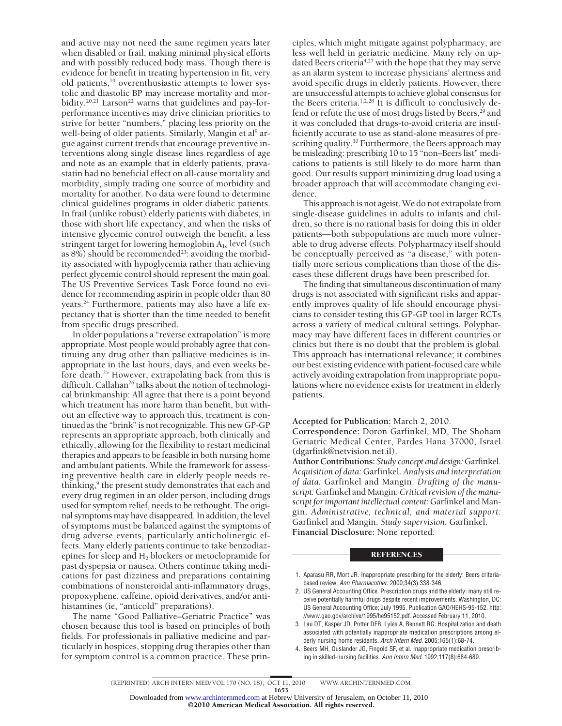and active may not need the same regimen years later when disabled or frail, making minimal physical efforts and with possibly reduced body mass. Though there is evidence for benefit in treating hypertension in fit, very old patients,<sup>19</sup> overenthusiastic attempts to lower systolic and diastolic BP may increase mortality and morbidity.<sup>20,21</sup> Larson<sup>22</sup> warns that guidelines and pay-forperformance incentives may drive clinician priorities to strive for better "numbers," placing less priority on the well-being of older patients. Similarly, Mangin et al<sup>9</sup> argue against current trends that encourage preventive interventions along single disease lines regardless of age and note as an example that in elderly patients, pravastatin had no beneficial effect on all-cause mortality and morbidity, simply trading one source of morbidity and mortality for another. No data were found to determine clinical guidelines programs in older diabetic patients. In frail (unlike robust) elderly patients with diabetes, in those with short life expectancy, and when the risks of intensive glycemic control outweigh the benefit, a less stringent target for lowering hemoglobin  $A_{1c}$  level (such as  $8\%$ ) should be recommended<sup>23</sup>: avoiding the morbidity associated with hypoglycemia rather than achieving perfect glycemic control should represent the main goal. The US Preventive Services Task Force found no evidence for recommending aspirin in people older than 80 years.<sup>24</sup> Furthermore, patients may also have a life expectancy that is shorter than the time needed to benefit from specific drugs prescribed.

In older populations a "reverse extrapolation" is more appropriate. Most people would probably agree that continuing any drug other than palliative medicines is inappropriate in the last hours, days, and even weeks before death.<sup>25</sup> However, extrapolating back from this is difficult. Callahan<sup>26</sup> talks about the notion of technological brinkmanship: All agree that there is a point beyond which treatment has more harm than benefit, but without an effective way to approach this, treatment is continued as the "brink" is not recognizable. This new GP-GP represents an appropriate approach, both clinically and ethically, allowing for the flexibility to restart medicinal therapies and appears to be feasible in both nursing home and ambulant patients. While the framework for assessing preventive health care in elderly people needs rethinking,<sup>9</sup> the present study demonstrates that each and every drug regimen in an older person, including drugs used for symptom relief, needs to be rethought. The original symptoms may have disappeared. In addition, the level of symptoms must be balanced against the symptoms of drug adverse events, particularly anticholinergic effects. Many elderly patients continue to take benzodiazepines for sleep and  $H_2$  blockers or metoclopramide for past dyspepsia or nausea. Others continue taking medications for past dizziness and preparations containing combinations of nonsteroidal anti-inflammatory drugs, propoxyphene, caffeine, opioid derivatives, and/or antihistamines (ie, "anticold" preparations).

The name "Good Palliative–Geriatric Practice" was chosen because this tool is based on principles of both fields. For professionals in palliative medicine and particularly in hospices, stopping drug therapies other than for symptom control is a common practice. These principles, which might mitigate against polypharmacy, are less well held in geriatric medicine. Many rely on updated Beers criteria<sup>4,27</sup> with the hope that they may serve as an alarm system to increase physicians' alertness and avoid specific drugs in elderly patients. However, there are unsuccessful attempts to achieve global consensus for the Beers criteria.<sup>1,2,28</sup> It is difficult to conclusively defend or refute the use of most drugs listed by Beers,  $29$  and it was concluded that drugs-to-avoid criteria are insufficiently accurate to use as stand-alone measures of prescribing quality.<sup>30</sup> Furthermore, the Beers approach may be misleading: prescribing 10 to 15 "non–Beers list" medications to patients is still likely to do more harm than good. Our results support minimizing drug load using a broader approach that will accommodate changing evidence.

This approach is not ageist. We do not extrapolate from single-disease guidelines in adults to infants and children, so there is no rational basis for doing this in older patients—both subpopulations are much more vulnerable to drug adverse effects. Polypharmacy itself should be conceptually perceived as "a disease," with potentially more serious complications than those of the diseases these different drugs have been prescribed for.

The finding that simultaneous discontinuation of many drugs is not associated with significant risks and apparently improves quality of life should encourage physicians to consider testing this GP-GP tool in larger RCTs across a variety of medical cultural settings. Polypharmacy may have different faces in different countries or clinics but there is no doubt that the problem is global. This approach has international relevance; it combines our best existing evidence with patient-focused care while actively avoiding extrapolation from inappropriate populations where no evidence exists for treatment in elderly patients.

## **Accepted for Publication:** March 2, 2010.

**Correspondence:** Doron Garfinkel, MD, The Shoham Geriatric Medical Center, Pardes Hana 37000, Israel (dgarfink@netvision.net.il).

**Author Contributions:** *Study concept and design:* Garfinkel. *Acquisition of data:* Garfinkel. *Analysis and interpretation of data:* Garfinkel and Mangin. *Drafting of the manuscript:* Garfinkel and Mangin. *Critical revision of the manuscript for important intellectual content:* Garfinkel and Mangin. *Administrative, technical, and material support:* Garfinkel and Mangin. *Study supervision:* Garfinkel. **Financial Disclosure:** None reported.

# **REFERENCES**

- 1. Aparasu RR, Mort JR. Inappropriate prescribing for the elderly: Beers criteriabased review. *Ann Pharmacother*. 2000;34(3):338-346.
- 2. US General Accounting Office. Prescription drugs and the elderly: many still receive potentially harmful drugs despite recent improvements. Washington, DC: US General Accounting Office; July 1995. Publication GAO/HEHS-95-152. http: //www.gao.gov/archive/1995/he95152.pdf. Accessed February 11, 2010.
- 3. Lau DT, Kasper JD, Potter DEB, Lyles A, Bennett RG. Hospitalization and death associated with potentially inappropriate medication prescriptions among elderly nursing home residents. *Arch Intern Med*. 2005;165(1):68-74.
- 4. Beers MH, Ouslander JG, Fingold SF, et al. Inappropriate medication prescribing in skilled-nursing facilities. *Ann Intern Med*. 1992;117(8):684-689.